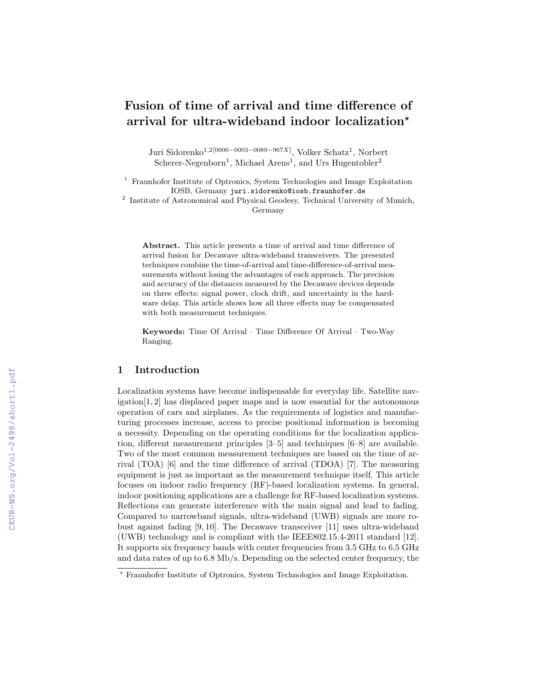# Fusion of time of arrival and time difference of arrival for ultra-wideband indoor localization<sup>\*</sup>

Juri Sidorenko<sup>1,2[0000–0003–0089–967X]</sup>, Volker Schatz<sup>1</sup>, Norbert Scherer-Negenborn<sup>1</sup>, Michael Arens<sup>1</sup>, and Urs Hugentobler<sup>2</sup>

<sup>1</sup> Fraunhofer Institute of Optronics, System Technologies and Image Exploitation IOSB, Germany juri.sidorenko@iosb.fraunhofer.de

<sup>2</sup> Institute of Astronomical and Physical Geodesy, Technical University of Munich, Germany

Abstract. This article presents a time of arrival and time difference of arrival fusion for Decawave ultra-wideband transceivers. The presented techniques combine the time-of-arrival and time-difference-of-arrival measurements without losing the advantages of each approach. The precision and accuracy of the distances measured by the Decawave devices depends on three effects: signal power, clock drift, and uncertainty in the hardware delay. This article shows how all three effects may be compensated with both measurement techniques.

Keywords: Time Of Arrival · Time Difference Of Arrival · Two-Way Ranging.

# 1 Introduction

Localization systems have become indispensable for everyday life. Satellite navigation[1, 2] has displaced paper maps and is now essential for the autonomous operation of cars and airplanes. As the requirements of logistics and manufacturing processes increase, access to precise positional information is becoming a necessity. Depending on the operating conditions for the localization application, different measurement principles [3–5] and techniques [6–8] are available. Two of the most common measurement techniques are based on the time of arrival (TOA) [6] and the time difference of arrival (TDOA) [7]. The measuring equipment is just as important as the measurement technique itself. This article focuses on indoor radio frequency (RF)-based localization systems. In general, indoor positioning applications are a challenge for RF-based localization systems. Reflections can generate interference with the main signal and lead to fading. Compared to narrowband signals, ultra-wideband (UWB) signals are more robust against fading [9, 10]. The Decawave transceiver [11] uses ultra-wideband (UWB) technology and is compliant with the IEEE802.15.4-2011 standard [12]. It supports six frequency bands with center frequencies from 3.5 GHz to 6.5 GHz and data rates of up to 6.8 Mb/s. Depending on the selected center frequency, the

<sup>?</sup> Fraunhofer Institute of Optronics, System Technologies and Image Exploitation.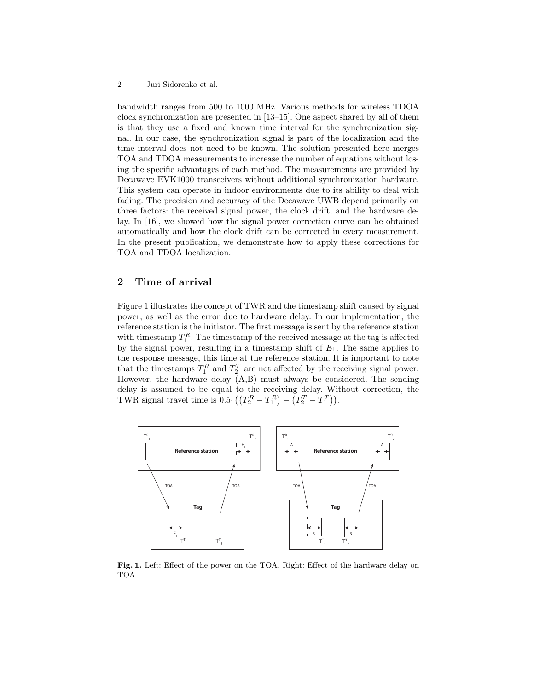#### 2 Juri Sidorenko et al.

bandwidth ranges from 500 to 1000 MHz. Various methods for wireless TDOA clock synchronization are presented in [13–15]. One aspect shared by all of them is that they use a fixed and known time interval for the synchronization signal. In our case, the synchronization signal is part of the localization and the time interval does not need to be known. The solution presented here merges TOA and TDOA measurements to increase the number of equations without losing the specific advantages of each method. The measurements are provided by Decawave EVK1000 transceivers without additional synchronization hardware. This system can operate in indoor environments due to its ability to deal with fading. The precision and accuracy of the Decawave UWB depend primarily on three factors: the received signal power, the clock drift, and the hardware delay. In [16], we showed how the signal power correction curve can be obtained automatically and how the clock drift can be corrected in every measurement. In the present publication, we demonstrate how to apply these corrections for TOA and TDOA localization.

# 2 Time of arrival

Figure 1 illustrates the concept of TWR and the timestamp shift caused by signal power, as well as the error due to hardware delay. In our implementation, the reference station is the initiator. The first message is sent by the reference station with timestamp  $T_1^R$ . The timestamp of the received message at the tag is affected by the signal power, resulting in a timestamp shift of  $E_1$ . The same applies to the response message, this time at the reference station. It is important to note that the timestamps  $T_1^R$  and  $T_2^T$  are not affected by the receiving signal power. However, the hardware delay (A,B) must always be considered. The sending delay is assumed to be equal to the receiving delay. Without correction, the TWR signal travel time is  $0.5 \cdot ((T_2^R - T_1^R) - (T_2^T - T_1^T))$ .



Fig. 1. Left: Effect of the power on the TOA, Right: Effect of the hardware delay on TOA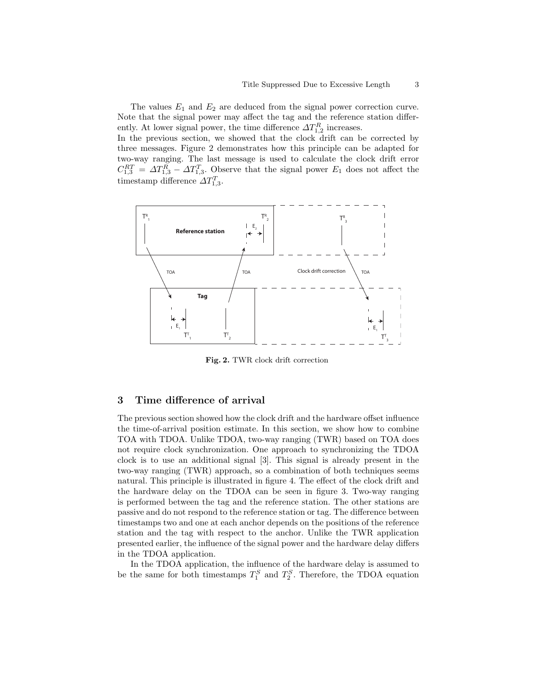The values  $E_1$  and  $E_2$  are deduced from the signal power correction curve. Note that the signal power may affect the tag and the reference station differently. At lower signal power, the time difference  $\Delta T_{1,2}^R$  increases. In the previous section, we showed that the clock drift can be corrected by three messages. Figure 2 demonstrates how this principle can be adapted for

two-way ranging. The last message is used to calculate the clock drift error  $C_{1,3}^{RT} = \Delta T_{1,3}^R - \Delta T_{1,3}^T$ . Observe that the signal power  $E_1$  does not affect the timestamp difference  $\Delta T_{1,3}^T$ .



Fig. 2. TWR clock drift correction

# 3 Time difference of arrival

The previous section showed how the clock drift and the hardware offset influence the time-of-arrival position estimate. In this section, we show how to combine TOA with TDOA. Unlike TDOA, two-way ranging (TWR) based on TOA does not require clock synchronization. One approach to synchronizing the TDOA clock is to use an additional signal [3]. This signal is already present in the two-way ranging (TWR) approach, so a combination of both techniques seems natural. This principle is illustrated in figure 4. The effect of the clock drift and the hardware delay on the TDOA can be seen in figure 3. Two-way ranging is performed between the tag and the reference station. The other stations are passive and do not respond to the reference station or tag. The difference between timestamps two and one at each anchor depends on the positions of the reference station and the tag with respect to the anchor. Unlike the TWR application presented earlier, the influence of the signal power and the hardware delay differs in the TDOA application.

In the TDOA application, the influence of the hardware delay is assumed to be the same for both timestamps  $T_1^S$  and  $T_2^S$ . Therefore, the TDOA equation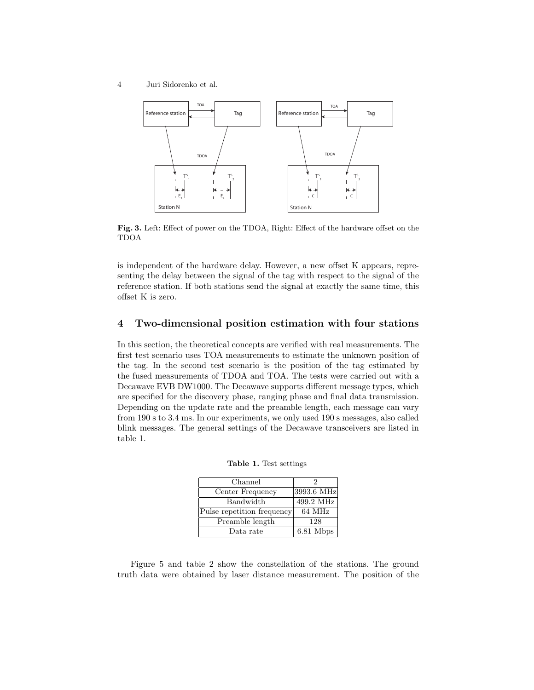4 Juri Sidorenko et al.



Fig. 3. Left: Effect of power on the TDOA, Right: Effect of the hardware offset on the TDOA

is independent of the hardware delay. However, a new offset K appears, representing the delay between the signal of the tag with respect to the signal of the reference station. If both stations send the signal at exactly the same time, this offset K is zero.

### 4 Two-dimensional position estimation with four stations

In this section, the theoretical concepts are verified with real measurements. The first test scenario uses TOA measurements to estimate the unknown position of the tag. In the second test scenario is the position of the tag estimated by the fused measurements of TDOA and TOA. The tests were carried out with a Decawave EVB DW1000. The Decawave supports different message types, which are specified for the discovery phase, ranging phase and final data transmission. Depending on the update rate and the preamble length, each message can vary from 190 s to 3.4 ms. In our experiments, we only used 190 s messages, also called blink messages. The general settings of the Decawave transceivers are listed in table 1.

Table 1. Test settings

| Channel                    |            |
|----------------------------|------------|
| Center Frequency           | 3993.6 MHz |
| Bandwidth                  | 499.2 MHz  |
| Pulse repetition frequency | 64 MHz     |
| Preamble length            | 128        |
| Data rate                  | 6.81 Mbps  |

Figure 5 and table 2 show the constellation of the stations. The ground truth data were obtained by laser distance measurement. The position of the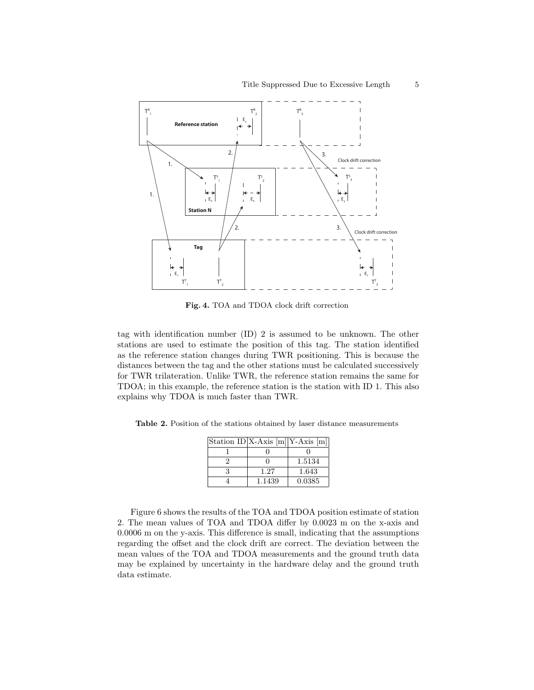

Fig. 4. TOA and TDOA clock drift correction

tag with identification number (ID) 2 is assumed to be unknown. The other stations are used to estimate the position of this tag. The station identified as the reference station changes during TWR positioning. This is because the distances between the tag and the other stations must be calculated successively for TWR trilateration. Unlike TWR, the reference station remains the same for TDOA; in this example, the reference station is the station with ID 1. This also explains why TDOA is much faster than TWR.

Table 2. Position of the stations obtained by laser distance measurements

| Station ID X-Axis $[m][Y-Axis[m]]$ |        |
|------------------------------------|--------|
|                                    |        |
|                                    | 1.5134 |
| 1.27                               | 1.643  |
| 1.1439                             | 0.0385 |

Figure 6 shows the results of the TOA and TDOA position estimate of station 2. The mean values of TOA and TDOA differ by 0.0023 m on the x-axis and 0.0006 m on the y-axis. This difference is small, indicating that the assumptions regarding the offset and the clock drift are correct. The deviation between the mean values of the TOA and TDOA measurements and the ground truth data may be explained by uncertainty in the hardware delay and the ground truth data estimate.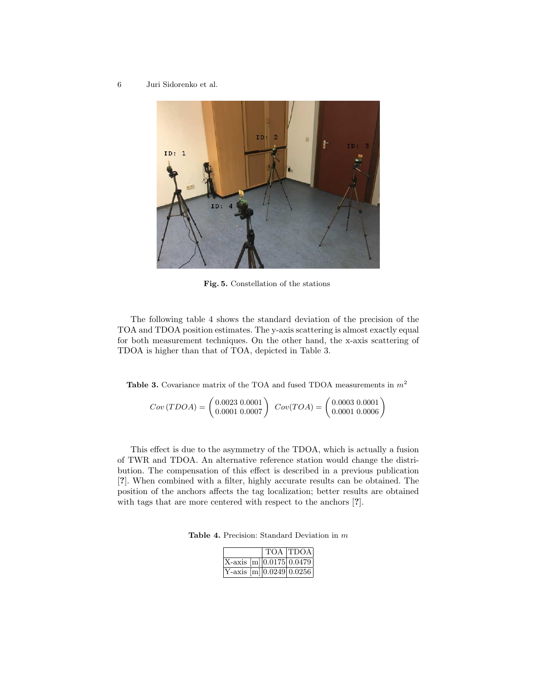6 Juri Sidorenko et al.



Fig. 5. Constellation of the stations

The following table 4 shows the standard deviation of the precision of the TOA and TDOA position estimates. The y-axis scattering is almost exactly equal for both measurement techniques. On the other hand, the x-axis scattering of TDOA is higher than that of TOA, depicted in Table 3.

**Table 3.** Covariance matrix of the TOA and fused TDOA measurements in  $m^2$ 

$$
Cov(TDOA) = \begin{pmatrix} 0.0023 & 0.0001 \\ 0.0001 & 0.0007 \end{pmatrix} Cov(TOA) = \begin{pmatrix} 0.0003 & 0.0001 \\ 0.0001 & 0.0006 \end{pmatrix}
$$

This effect is due to the asymmetry of the TDOA, which is actually a fusion of TWR and TDOA. An alternative reference station would change the distribution. The compensation of this effect is described in a previous publication [?]. When combined with a filter, highly accurate results can be obtained. The position of the anchors affects the tag localization; better results are obtained with tags that are more centered with respect to the anchors [?].

Table 4. Precision: Standard Deviation in m

|                             | TOA TDOA |
|-----------------------------|----------|
| $X$ -axis [m] 0.0175 0.0479 |          |
| $Y$ -axis [m] 0.0249 0.0256 |          |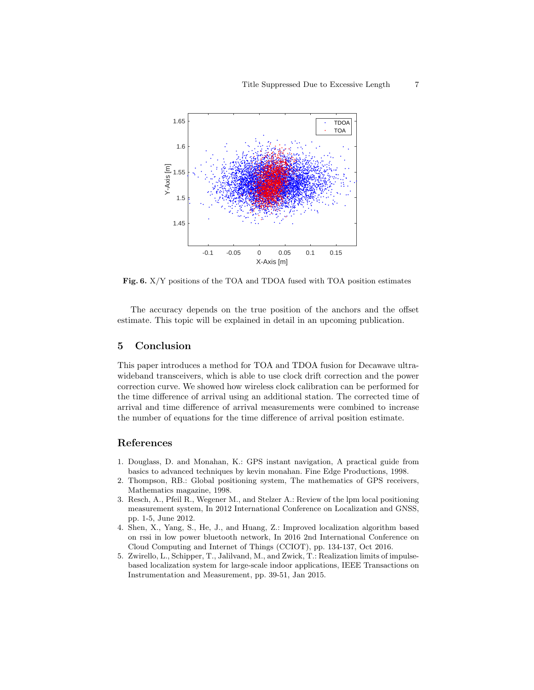

Fig. 6. X/Y positions of the TOA and TDOA fused with TOA position estimates

The accuracy depends on the true position of the anchors and the offset estimate. This topic will be explained in detail in an upcoming publication.

#### 5 Conclusion

This paper introduces a method for TOA and TDOA fusion for Decawave ultrawideband transceivers, which is able to use clock drift correction and the power correction curve. We showed how wireless clock calibration can be performed for the time difference of arrival using an additional station. The corrected time of arrival and time difference of arrival measurements were combined to increase the number of equations for the time difference of arrival position estimate.

# References

- 1. Douglass, D. and Monahan, K.: GPS instant navigation, A practical guide from basics to advanced techniques by kevin monahan. Fine Edge Productions, 1998.
- 2. Thompson, RB.: Global positioning system, The mathematics of GPS receivers, Mathematics magazine, 1998.
- 3. Resch, A., Pfeil R., Wegener M., and Stelzer A.: Review of the lpm local positioning measurement system, In 2012 International Conference on Localization and GNSS, pp. 1-5, June 2012.
- 4. Shen, X., Yang, S., He, J., and Huang, Z.: Improved localization algorithm based on rssi in low power bluetooth network, In 2016 2nd International Conference on Cloud Computing and Internet of Things (CCIOT), pp. 134-137, Oct 2016.
- 5. Zwirello, L., Schipper, T., Jalilvand, M., and Zwick, T.: Realization limits of impulsebased localization system for large-scale indoor applications, IEEE Transactions on Instrumentation and Measurement, pp. 39-51, Jan 2015.